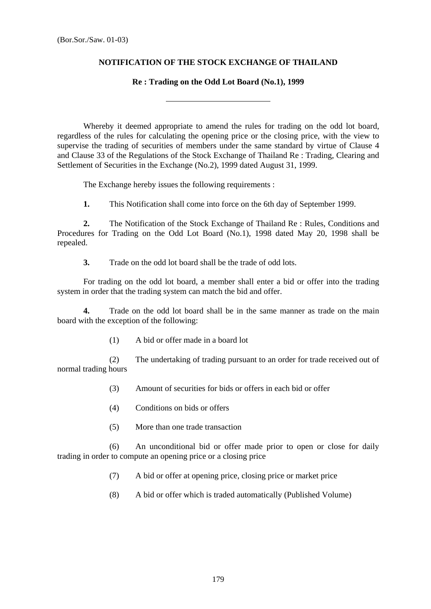## **NOTIFICATION OF THE STOCK EXCHANGE OF THAILAND**

## **Re : Trading on the Odd Lot Board (No.1), 1999**

 Whereby it deemed appropriate to amend the rules for trading on the odd lot board, regardless of the rules for calculating the opening price or the closing price, with the view to supervise the trading of securities of members under the same standard by virtue of Clause 4 and Clause 33 of the Regulations of the Stock Exchange of Thailand Re : Trading, Clearing and Settlement of Securities in the Exchange (No.2), 1999 dated August 31, 1999.

The Exchange hereby issues the following requirements :

 $\overline{a}$ 

 **1.** This Notification shall come into force on the 6th day of September 1999.

**2.** The Notification of the Stock Exchange of Thailand Re : Rules, Conditions and Procedures for Trading on the Odd Lot Board (No.1), 1998 dated May 20, 1998 shall be repealed.

 **3.** Trade on the odd lot board shall be the trade of odd lots.

 For trading on the odd lot board, a member shall enter a bid or offer into the trading system in order that the trading system can match the bid and offer.

 **4.** Trade on the odd lot board shall be in the same manner as trade on the main board with the exception of the following:

(1) A bid or offer made in a board lot

 (2) The undertaking of trading pursuant to an order for trade received out of normal trading hours

- (3) Amount of securities for bids or offers in each bid or offer
- (4) Conditions on bids or offers
- (5) More than one trade transaction

 (6) An unconditional bid or offer made prior to open or close for daily trading in order to compute an opening price or a closing price

- (7) A bid or offer at opening price, closing price or market price
- (8) A bid or offer which is traded automatically (Published Volume)